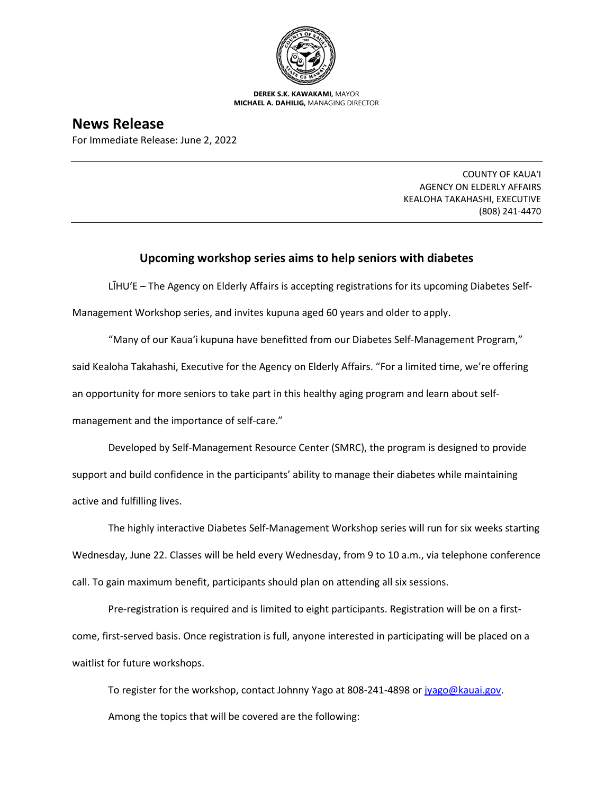

**DEREK S.K. KAWAKAMI,** MAYOR **MICHAEL A. DAHILIG,** MANAGING DIRECTOR

## **News Release**

For Immediate Release: June 2, 2022

COUNTY OF KAUA'I AGENCY ON ELDERLY AFFAIRS KEALOHA TAKAHASHI, EXECUTIVE (808) 241-4470

## **Upcoming workshop series aims to help seniors with diabetes**

LĪHU'E – The Agency on Elderly Affairs is accepting registrations for its upcoming Diabetes Self-

Management Workshop series, and invites kupuna aged 60 years and older to apply.

"Many of our Kaua'i kupuna have benefitted from our Diabetes Self-Management Program," said Kealoha Takahashi, Executive for the Agency on Elderly Affairs. "For a limited time, we're offering an opportunity for more seniors to take part in this healthy aging program and learn about selfmanagement and the importance of self-care."

Developed by Self-Management Resource Center (SMRC), the program is designed to provide support and build confidence in the participants' ability to manage their diabetes while maintaining active and fulfilling lives.

The highly interactive Diabetes Self-Management Workshop series will run for six weeks starting Wednesday, June 22. Classes will be held every Wednesday, from 9 to 10 a.m., via telephone conference call. To gain maximum benefit, participants should plan on attending all six sessions.

Pre-registration is required and is limited to eight participants. Registration will be on a firstcome, first-served basis. Once registration is full, anyone interested in participating will be placed on a waitlist for future workshops.

To register for the workshop, contact Johnny Yago at 808-241-4898 or [jyago@kauai.gov.](mailto:jyago@kauai.gov) Among the topics that will be covered are the following: